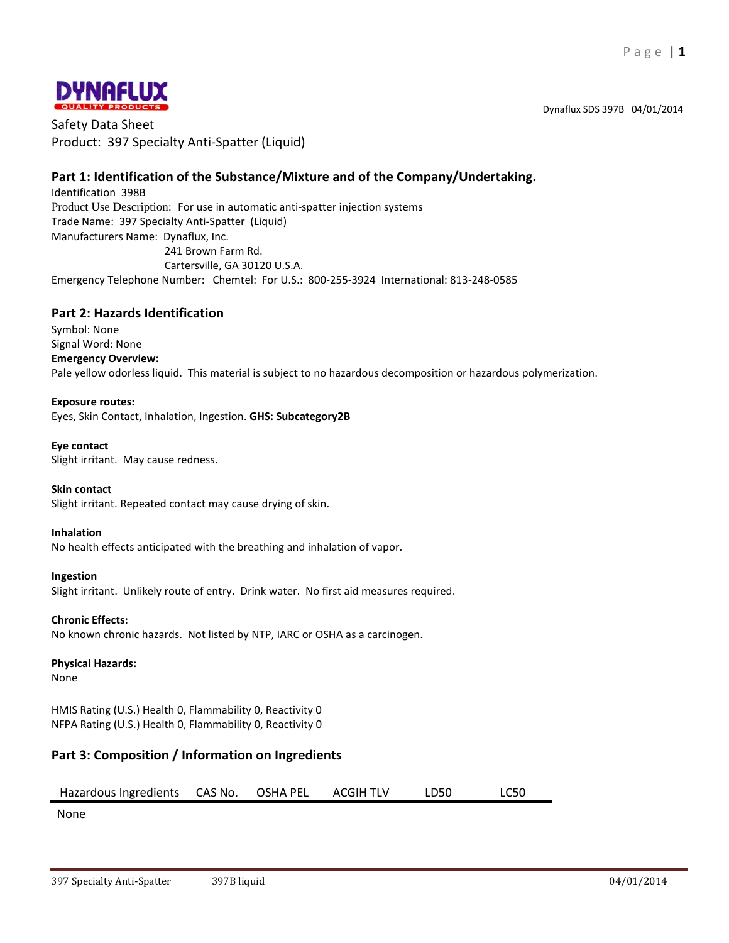Dynaflux SDS 397B 04/01/2014



Safety Data Sheet Product: 397 Specialty Anti-Spatter (Liquid)

# **Part 1: Identification of the Substance/Mixture and of the Company/Undertaking.**

Identification 398B Product Use Description: For use in automatic anti-spatter injection systems Trade Name: 397 Specialty Anti-Spatter (Liquid) Manufacturers Name: Dynaflux, Inc. 241 Brown Farm Rd. Cartersville, GA 30120 U.S.A.

Emergency Telephone Number: Chemtel: For U.S.: 800-255-3924 International: 813-248-0585

### **Part 2: Hazards Identification**

Symbol: None Signal Word: None **Emergency Overview:** Pale yellow odorless liquid. This material is subject to no hazardous decomposition or hazardous polymerization.

#### **Exposure routes:**

Eyes, Skin Contact, Inhalation, Ingestion. **GHS: Subcategory2B**

#### **Eye contact**

Slight irritant. May cause redness.

#### **Skin contact**

Slight irritant. Repeated contact may cause drying of skin.

#### **Inhalation**

No health effects anticipated with the breathing and inhalation of vapor.

#### **Ingestion**

Slight irritant. Unlikely route of entry. Drink water. No first aid measures required.

#### **Chronic Effects:**

No known chronic hazards. Not listed by NTP, IARC or OSHA as a carcinogen.

#### **Physical Hazards:**

None

HMIS Rating (U.S.) Health 0, Flammability 0, Reactivity 0 NFPA Rating (U.S.) Health 0, Flammability 0, Reactivity 0

### **Part 3: Composition / Information on Ingredients**

| Hazardous Ingredients CAS No. OSHA PEL |  |  | ACGIH TLV | LD50 | <b>LC50</b> |
|----------------------------------------|--|--|-----------|------|-------------|
|----------------------------------------|--|--|-----------|------|-------------|

None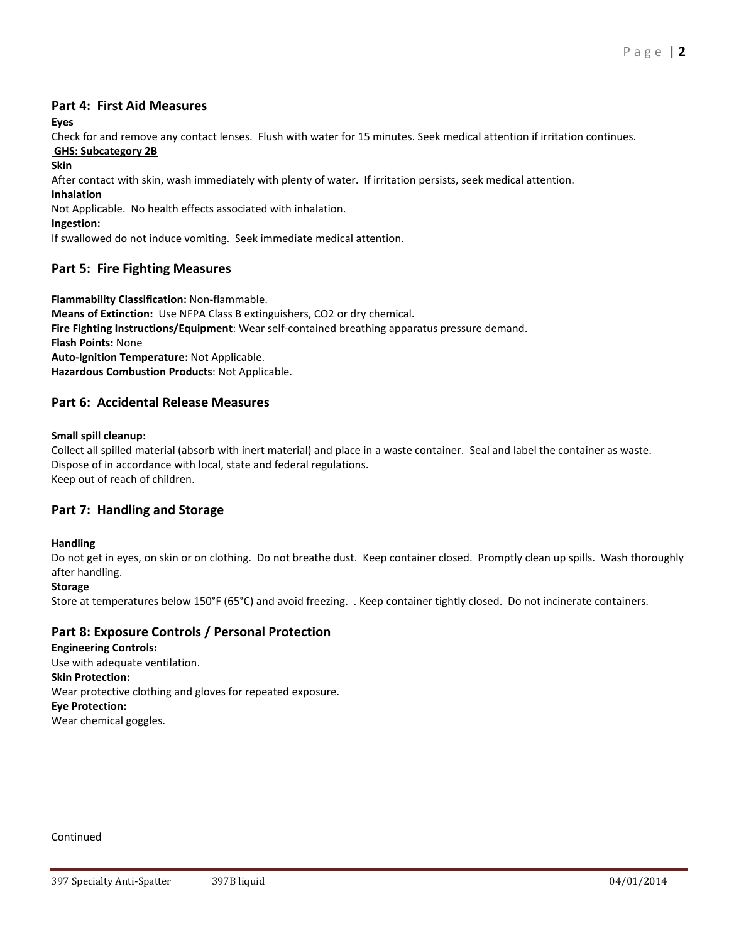#### **Part 4: First Aid Measures**

**Eyes**

Check for and remove any contact lenses. Flush with water for 15 minutes. Seek medical attention if irritation continues. **GHS: Subcategory 2B**

**Skin**

After contact with skin, wash immediately with plenty of water. If irritation persists, seek medical attention.

**Inhalation**

Not Applicable. No health effects associated with inhalation.

**Ingestion:**

If swallowed do not induce vomiting. Seek immediate medical attention.

# **Part 5: Fire Fighting Measures**

**Flammability Classification:** Non-flammable. **Means of Extinction:** Use NFPA Class B extinguishers, CO2 or dry chemical. **Fire Fighting Instructions/Equipment**: Wear self-contained breathing apparatus pressure demand. **Flash Points:** None **Auto-Ignition Temperature:** Not Applicable. **Hazardous Combustion Products**: Not Applicable.

# **Part 6: Accidental Release Measures**

#### **Small spill cleanup:**

Collect all spilled material (absorb with inert material) and place in a waste container. Seal and label the container as waste. Dispose of in accordance with local, state and federal regulations. Keep out of reach of children.

# **Part 7: Handling and Storage**

#### **Handling**

Do not get in eyes, on skin or on clothing. Do not breathe dust. Keep container closed. Promptly clean up spills. Wash thoroughly after handling.

#### **Storage**

Store at temperatures below 150°F (65°C) and avoid freezing. . Keep container tightly closed. Do not incinerate containers.

# **Part 8: Exposure Controls / Personal Protection**

**Engineering Controls:** Use with adequate ventilation. **Skin Protection:** Wear protective clothing and gloves for repeated exposure. **Eye Protection:** Wear chemical goggles.

Continued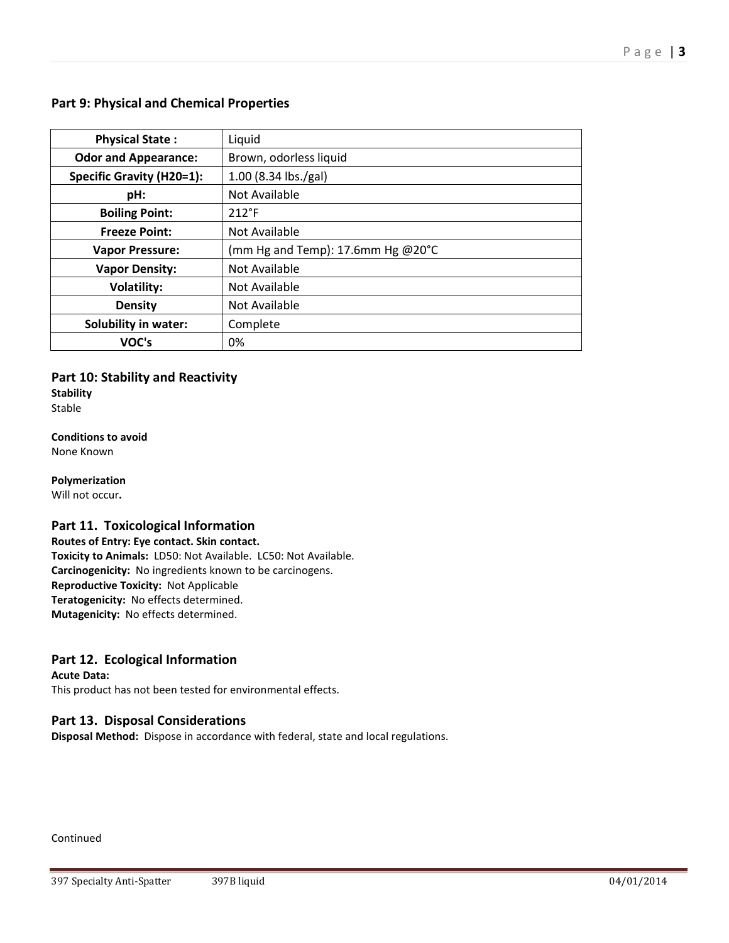# **Part 9: Physical and Chemical Properties**

| <b>Physical State:</b>           | Liquid                              |  |
|----------------------------------|-------------------------------------|--|
| <b>Odor and Appearance:</b>      | Brown, odorless liquid              |  |
| <b>Specific Gravity (H20=1):</b> | 1.00 (8.34 lbs./gal)                |  |
| pH:                              | Not Available                       |  |
| <b>Boiling Point:</b>            | $212^{\circ}F$                      |  |
| <b>Freeze Point:</b>             | Not Available                       |  |
| <b>Vapor Pressure:</b>           | (mm Hg and Temp): 17.6mm Hg $@20°C$ |  |
| <b>Vapor Density:</b>            | Not Available                       |  |
| <b>Volatility:</b>               | Not Available                       |  |
| <b>Density</b>                   | Not Available                       |  |
| <b>Solubility in water:</b>      | Complete                            |  |
| VOC's                            | 0%                                  |  |

# **Part 10: Stability and Reactivity**

**Stability** Stable

**Conditions to avoid** None Known

**Polymerization**

Will not occur**.**

### **Part 11. Toxicological Information**

**Routes of Entry: Eye contact. Skin contact. Toxicity to Animals:** LD50: Not Available. LC50: Not Available. **Carcinogenicity:** No ingredients known to be carcinogens. **Reproductive Toxicity:** Not Applicable **Teratogenicity:** No effects determined. **Mutagenicity:** No effects determined.

### **Part 12. Ecological Information**

**Acute Data:** This product has not been tested for environmental effects.

# **Part 13. Disposal Considerations**

**Disposal Method:** Dispose in accordance with federal, state and local regulations.

Continued